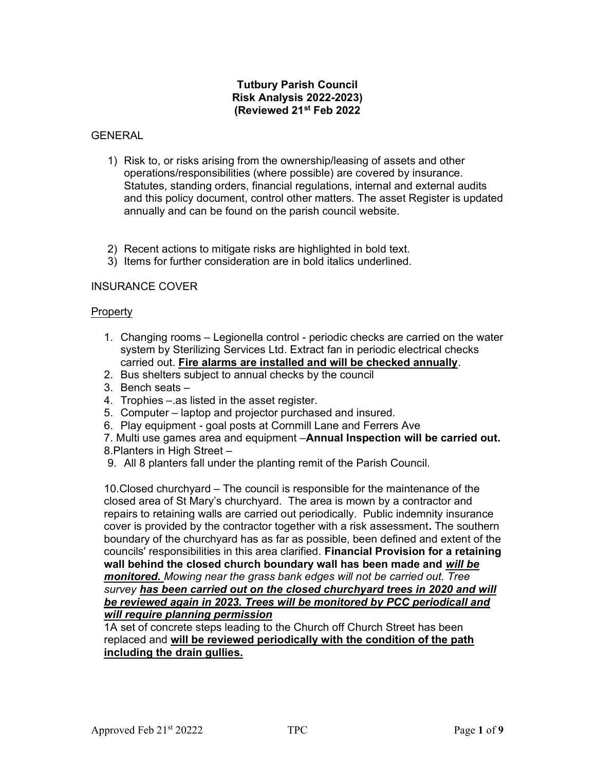## Tutbury Parish Council Risk Analysis 2022-2023) (Reviewed 21st Feb 2022

## GENERAL

- 1) Risk to, or risks arising from the ownership/leasing of assets and other operations/responsibilities (where possible) are covered by insurance. Statutes, standing orders, financial regulations, internal and external audits and this policy document, control other matters. The asset Register is updated annually and can be found on the parish council website.
- 2) Recent actions to mitigate risks are highlighted in bold text.
- 3) Items for further consideration are in bold italics underlined.

## INSURANCE COVER

## **Property**

- 1. Changing rooms Legionella control periodic checks are carried on the water system by Sterilizing Services Ltd. Extract fan in periodic electrical checks carried out. Fire alarms are installed and will be checked annually.
- 2. Bus shelters subject to annual checks by the council
- 3. Bench seats –
- 4. Trophies –.as listed in the asset register.
- 5. Computer laptop and projector purchased and insured.
- 6. Play equipment goal posts at Cornmill Lane and Ferrers Ave

7. Multi use games area and equipment - Annual Inspection will be carried out. 8.Planters in High Street –

9. All 8 planters fall under the planting remit of the Parish Council.

10.Closed churchyard – The council is responsible for the maintenance of the closed area of St Mary's churchyard. The area is mown by a contractor and repairs to retaining walls are carried out periodically. Public indemnity insurance cover is provided by the contractor together with a risk assessment. The southern boundary of the churchyard has as far as possible, been defined and extent of the councils' responsibilities in this area clarified. Financial Provision for a retaining wall behind the closed church boundary wall has been made and will be monitored. Mowing near the grass bank edges will not be carried out. Tree survey has been carried out on the closed churchyard trees in 2020 and will be reviewed again in 2023. Trees will be monitored by PCC periodicall and will require planning permission

1A set of concrete steps leading to the Church off Church Street has been replaced and will be reviewed periodically with the condition of the path including the drain gullies.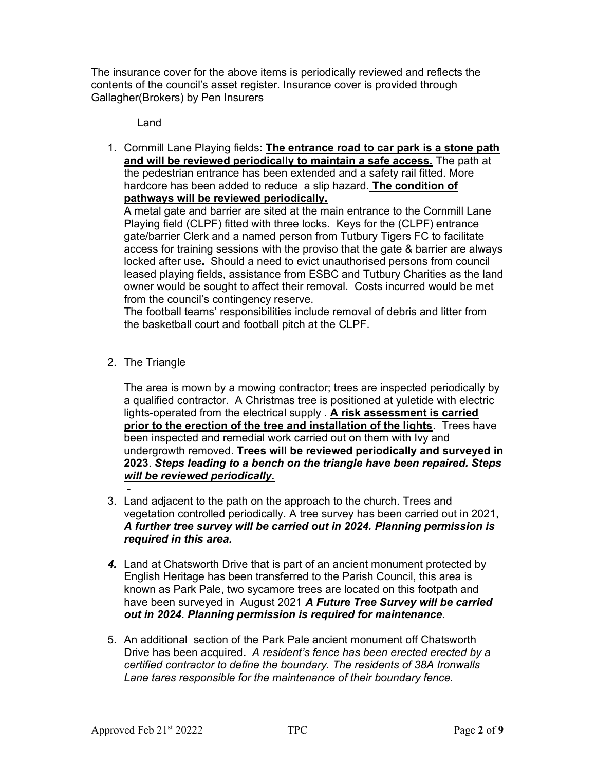The insurance cover for the above items is periodically reviewed and reflects the contents of the council's asset register. Insurance cover is provided through Gallagher(Brokers) by Pen Insurers

# Land

1. Cornmill Lane Playing fields: The entrance road to car park is a stone path and will be reviewed periodically to maintain a safe access. The path at the pedestrian entrance has been extended and a safety rail fitted. More hardcore has been added to reduce a slip hazard. The condition of pathways will be reviewed periodically.

A metal gate and barrier are sited at the main entrance to the Cornmill Lane Playing field (CLPF) fitted with three locks. Keys for the (CLPF) entrance gate/barrier Clerk and a named person from Tutbury Tigers FC to facilitate access for training sessions with the proviso that the gate & barrier are always locked after use. Should a need to evict unauthorised persons from council leased playing fields, assistance from ESBC and Tutbury Charities as the land owner would be sought to affect their removal. Costs incurred would be met from the council's contingency reserve.

The football teams' responsibilities include removal of debris and litter from the basketball court and football pitch at the CLPF.

2. The Triangle

The area is mown by a mowing contractor; trees are inspected periodically by a qualified contractor. A Christmas tree is positioned at yuletide with electric lights-operated from the electrical supply . A risk assessment is carried prior to the erection of the tree and installation of the lights. Trees have been inspected and remedial work carried out on them with Ivy and undergrowth removed. Trees will be reviewed periodically and surveyed in 2023. Steps leading to a bench on the triangle have been repaired. Steps will be reviewed periodically.

- 3. Land adjacent to the path on the approach to the church. Trees and vegetation controlled periodically. A tree survey has been carried out in 2021, A further tree survey will be carried out in 2024. Planning permission is required in this area.
- 4. Land at Chatsworth Drive that is part of an ancient monument protected by English Heritage has been transferred to the Parish Council, this area is known as Park Pale, two sycamore trees are located on this footpath and have been surveyed in August 2021 A Future Tree Survey will be carried out in 2024. Planning permission is required for maintenance.
- 5. An additional section of the Park Pale ancient monument off Chatsworth Drive has been acquired. A resident's fence has been erected erected by a certified contractor to define the boundary. The residents of 38A Ironwalls Lane tares responsible for the maintenance of their boundary fence.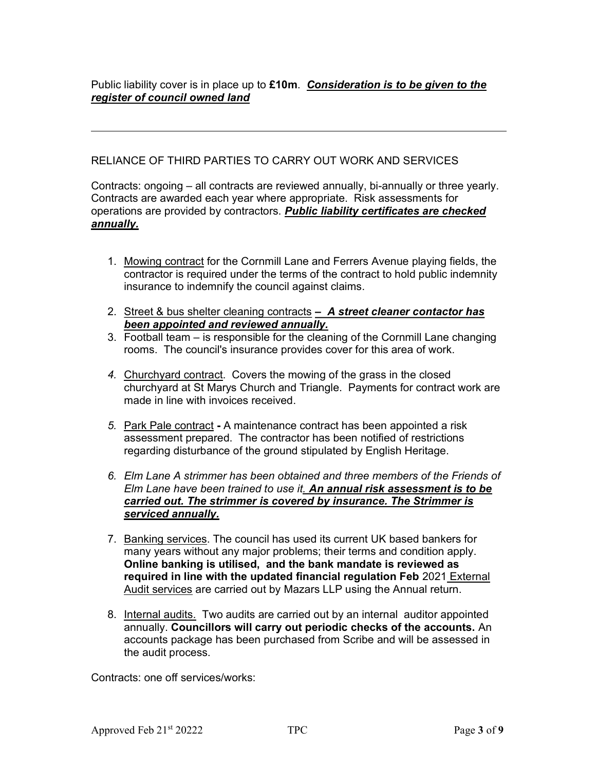RELIANCE OF THIRD PARTIES TO CARRY OUT WORK AND SERVICES

Contracts: ongoing – all contracts are reviewed annually, bi-annually or three yearly. Contracts are awarded each year where appropriate. Risk assessments for operations are provided by contractors. Public liability certificates are checked annually.

- 1. Mowing contract for the Cornmill Lane and Ferrers Avenue playing fields, the contractor is required under the terms of the contract to hold public indemnity insurance to indemnify the council against claims.
- 2. Street & bus shelter cleaning contracts  $-$  A street cleaner contactor has been appointed and reviewed annually.
- 3. Football team is responsible for the cleaning of the Cornmill Lane changing rooms. The council's insurance provides cover for this area of work.
- 4. Churchyard contract. Covers the mowing of the grass in the closed churchyard at St Marys Church and Triangle. Payments for contract work are made in line with invoices received.
- 5. Park Pale contract A maintenance contract has been appointed a risk assessment prepared. The contractor has been notified of restrictions regarding disturbance of the ground stipulated by English Heritage.
- 6. Elm Lane A strimmer has been obtained and three members of the Friends of Elm Lane have been trained to use it. An annual risk assessment is to be carried out. The strimmer is covered by insurance. The Strimmer is serviced annually.
- 7. Banking services. The council has used its current UK based bankers for many years without any major problems; their terms and condition apply. Online banking is utilised, and the bank mandate is reviewed as required in line with the updated financial regulation Feb 2021 External Audit services are carried out by Mazars LLP using the Annual return.
- 8. Internal audits. Two audits are carried out by an internal auditor appointed annually. Councillors will carry out periodic checks of the accounts. An accounts package has been purchased from Scribe and will be assessed in the audit process.

Contracts: one off services/works: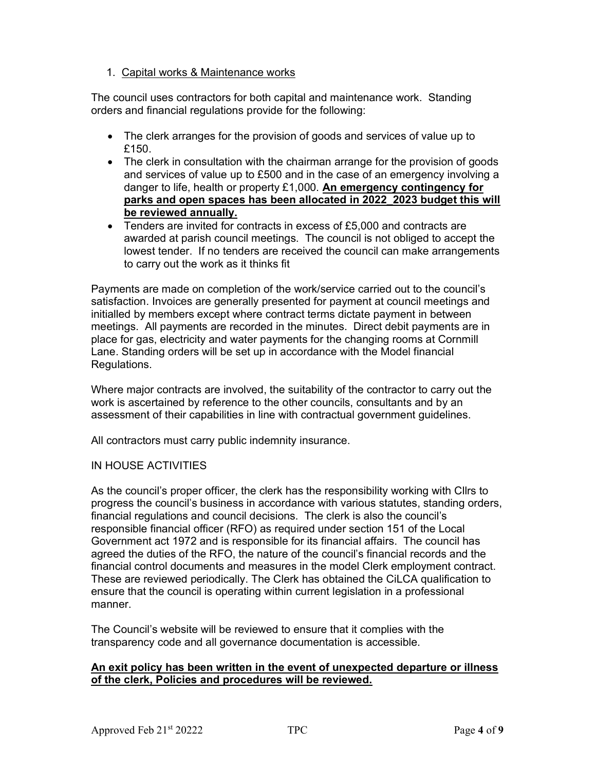## 1. Capital works & Maintenance works

The council uses contractors for both capital and maintenance work. Standing orders and financial regulations provide for the following:

- The clerk arranges for the provision of goods and services of value up to £150
- The clerk in consultation with the chairman arrange for the provision of goods and services of value up to £500 and in the case of an emergency involving a danger to life, health or property £1,000. An emergency contingency for parks and open spaces has been allocated in 2022\_2023 budget this will be reviewed annually.
- Tenders are invited for contracts in excess of £5,000 and contracts are awarded at parish council meetings. The council is not obliged to accept the lowest tender. If no tenders are received the council can make arrangements to carry out the work as it thinks fit

Payments are made on completion of the work/service carried out to the council's satisfaction. Invoices are generally presented for payment at council meetings and initialled by members except where contract terms dictate payment in between meetings. All payments are recorded in the minutes. Direct debit payments are in place for gas, electricity and water payments for the changing rooms at Cornmill Lane. Standing orders will be set up in accordance with the Model financial Regulations.

Where major contracts are involved, the suitability of the contractor to carry out the work is ascertained by reference to the other councils, consultants and by an assessment of their capabilities in line with contractual government guidelines.

All contractors must carry public indemnity insurance.

## IN HOUSE ACTIVITIES

As the council's proper officer, the clerk has the responsibility working with Cllrs to progress the council's business in accordance with various statutes, standing orders, financial regulations and council decisions. The clerk is also the council's responsible financial officer (RFO) as required under section 151 of the Local Government act 1972 and is responsible for its financial affairs. The council has agreed the duties of the RFO, the nature of the council's financial records and the financial control documents and measures in the model Clerk employment contract. These are reviewed periodically. The Clerk has obtained the CiLCA qualification to ensure that the council is operating within current legislation in a professional manner.

The Council's website will be reviewed to ensure that it complies with the transparency code and all governance documentation is accessible.

## An exit policy has been written in the event of unexpected departure or illness of the clerk, Policies and procedures will be reviewed.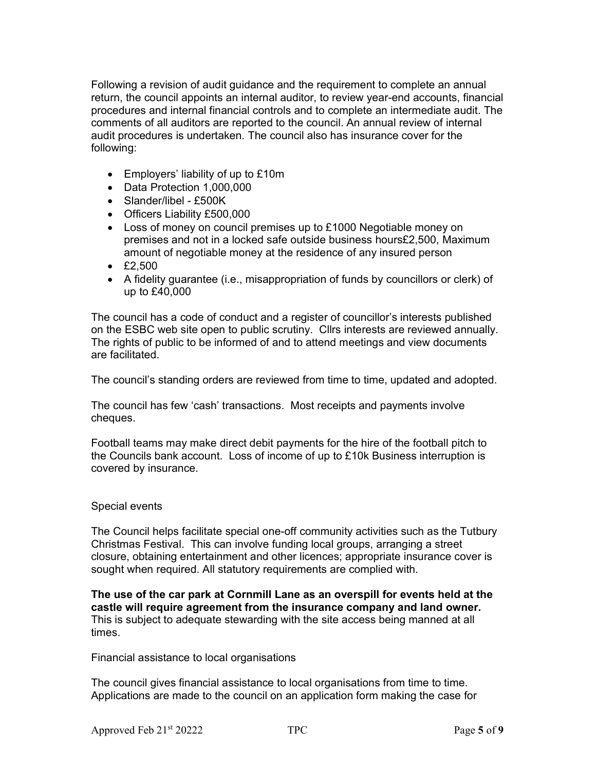Following a revision of audit guidance and the requirement to complete an annual return, the council appoints an internal auditor, to review year-end accounts, financial procedures and internal financial controls and to complete an intermediate audit. The comments of all auditors are reported to the council. An annual review of internal audit procedures is undertaken. The council also has insurance cover for the following:

- $\bullet$  Employers' liability of up to £10m
- Data Protection 1,000,000
- Slander/libel £500K
- Officers Liability £500,000
- Loss of money on council premises up to £1000 Negotiable money on premises and not in a locked safe outside business hours£2,500, Maximum amount of negotiable money at the residence of any insured person
- £2,500
- A fidelity guarantee (i.e., misappropriation of funds by councillors or clerk) of up to £40,000

The council has a code of conduct and a register of councillor's interests published on the ESBC web site open to public scrutiny. Cllrs interests are reviewed annually. The rights of public to be informed of and to attend meetings and view documents are facilitated.

The council's standing orders are reviewed from time to time, updated and adopted.

The council has few 'cash' transactions. Most receipts and payments involve cheques.

Football teams may make direct debit payments for the hire of the football pitch to the Councils bank account. Loss of income of up to £10k Business interruption is covered by insurance.

## Special events

The Council helps facilitate special one-off community activities such as the Tutbury Christmas Festival. This can involve funding local groups, arranging a street closure, obtaining entertainment and other licences; appropriate insurance cover is sought when required. All statutory requirements are complied with.

The use of the car park at Cornmill Lane as an overspill for events held at the castle will require agreement from the insurance company and land owner. This is subject to adequate stewarding with the site access being manned at all times.

Financial assistance to local organisations

The council gives financial assistance to local organisations from time to time. Applications are made to the council on an application form making the case for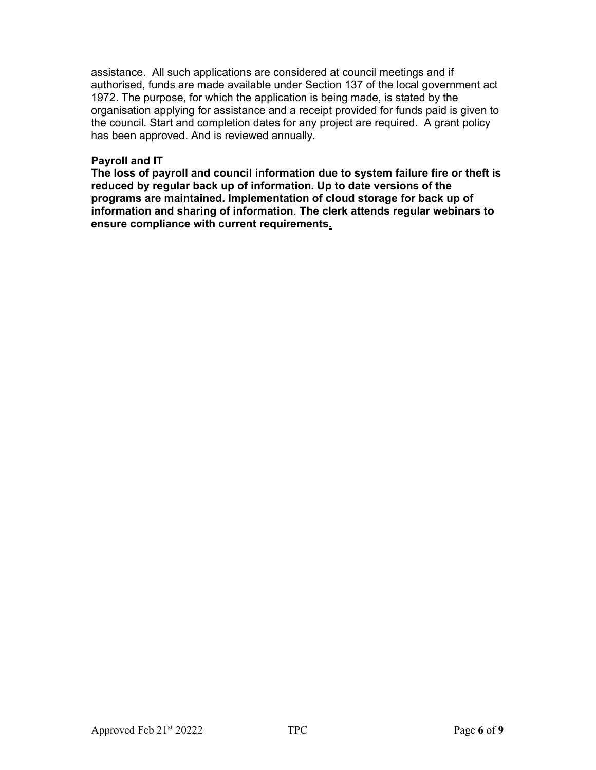assistance. All such applications are considered at council meetings and if authorised, funds are made available under Section 137 of the local government act 1972. The purpose, for which the application is being made, is stated by the organisation applying for assistance and a receipt provided for funds paid is given to the council. Start and completion dates for any project are required. A grant policy has been approved. And is reviewed annually.

#### Payroll and IT

The loss of payroll and council information due to system failure fire or theft is reduced by regular back up of information. Up to date versions of the programs are maintained. Implementation of cloud storage for back up of information and sharing of information. The clerk attends regular webinars to ensure compliance with current requirements.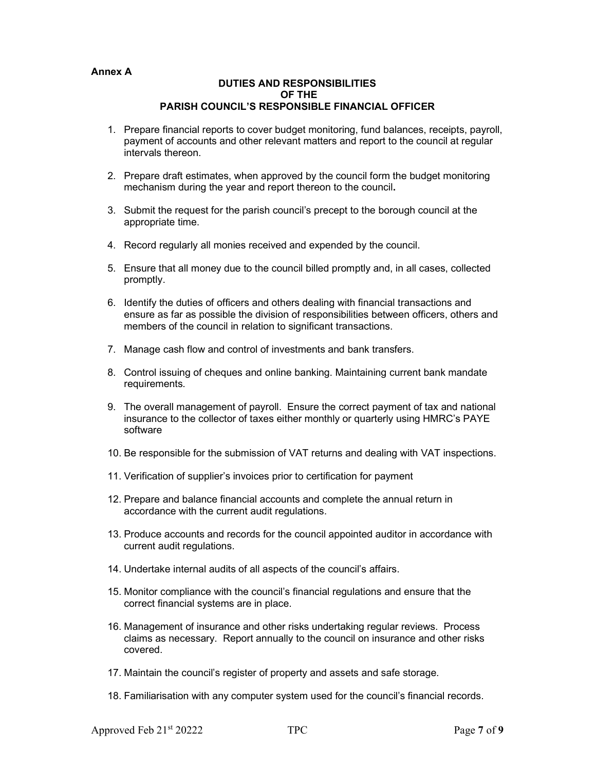#### Annex A

#### DUTIES AND RESPONSIBILITIES OF THE PARISH COUNCIL'S RESPONSIBLE FINANCIAL OFFICER

- 1. Prepare financial reports to cover budget monitoring, fund balances, receipts, payroll, payment of accounts and other relevant matters and report to the council at regular intervals thereon.
- 2. Prepare draft estimates, when approved by the council form the budget monitoring mechanism during the year and report thereon to the council.
- 3. Submit the request for the parish council's precept to the borough council at the appropriate time.
- 4. Record regularly all monies received and expended by the council.
- 5. Ensure that all money due to the council billed promptly and, in all cases, collected promptly.
- 6. Identify the duties of officers and others dealing with financial transactions and ensure as far as possible the division of responsibilities between officers, others and members of the council in relation to significant transactions.
- 7. Manage cash flow and control of investments and bank transfers.
- 8. Control issuing of cheques and online banking. Maintaining current bank mandate requirements.
- 9. The overall management of payroll. Ensure the correct payment of tax and national insurance to the collector of taxes either monthly or quarterly using HMRC's PAYE software
- 10. Be responsible for the submission of VAT returns and dealing with VAT inspections.
- 11. Verification of supplier's invoices prior to certification for payment
- 12. Prepare and balance financial accounts and complete the annual return in accordance with the current audit regulations.
- 13. Produce accounts and records for the council appointed auditor in accordance with current audit regulations.
- 14. Undertake internal audits of all aspects of the council's affairs.
- 15. Monitor compliance with the council's financial regulations and ensure that the correct financial systems are in place.
- 16. Management of insurance and other risks undertaking regular reviews. Process claims as necessary. Report annually to the council on insurance and other risks covered.
- 17. Maintain the council's register of property and assets and safe storage.
- 18. Familiarisation with any computer system used for the council's financial records.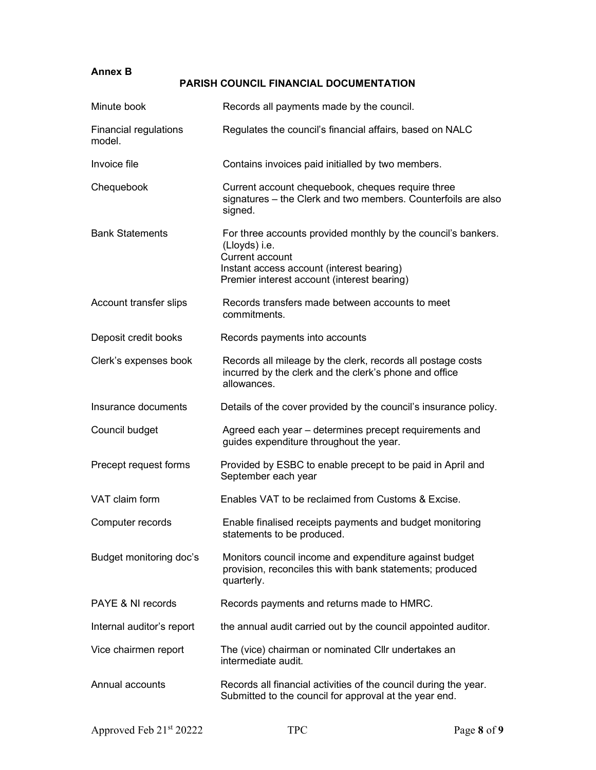# Annex B

# PARISH COUNCIL FINANCIAL DOCUMENTATION

| Minute book                            | Records all payments made by the council.                                                                                                                                                     |
|----------------------------------------|-----------------------------------------------------------------------------------------------------------------------------------------------------------------------------------------------|
| <b>Financial regulations</b><br>model. | Regulates the council's financial affairs, based on NALC                                                                                                                                      |
| Invoice file                           | Contains invoices paid initialled by two members.                                                                                                                                             |
| Chequebook                             | Current account chequebook, cheques require three<br>signatures - the Clerk and two members. Counterfoils are also<br>signed.                                                                 |
| <b>Bank Statements</b>                 | For three accounts provided monthly by the council's bankers.<br>(Lloyds) i.e.<br>Current account<br>Instant access account (interest bearing)<br>Premier interest account (interest bearing) |
| Account transfer slips                 | Records transfers made between accounts to meet<br>commitments.                                                                                                                               |
| Deposit credit books                   | Records payments into accounts                                                                                                                                                                |
| Clerk's expenses book                  | Records all mileage by the clerk, records all postage costs<br>incurred by the clerk and the clerk's phone and office<br>allowances.                                                          |
| Insurance documents                    | Details of the cover provided by the council's insurance policy.                                                                                                                              |
| Council budget                         | Agreed each year – determines precept requirements and<br>guides expenditure throughout the year.                                                                                             |
| Precept request forms                  | Provided by ESBC to enable precept to be paid in April and<br>September each year                                                                                                             |
| VAT claim form                         | Enables VAT to be reclaimed from Customs & Excise.                                                                                                                                            |
| Computer records                       | Enable finalised receipts payments and budget monitoring<br>statements to be produced.                                                                                                        |
| Budget monitoring doc's                | Monitors council income and expenditure against budget<br>provision, reconciles this with bank statements; produced<br>quarterly.                                                             |
| PAYE & NI records                      | Records payments and returns made to HMRC.                                                                                                                                                    |
| Internal auditor's report              | the annual audit carried out by the council appointed auditor.                                                                                                                                |
| Vice chairmen report                   | The (vice) chairman or nominated Cllr undertakes an<br>intermediate audit.                                                                                                                    |
| Annual accounts                        | Records all financial activities of the council during the year.<br>Submitted to the council for approval at the year end.                                                                    |